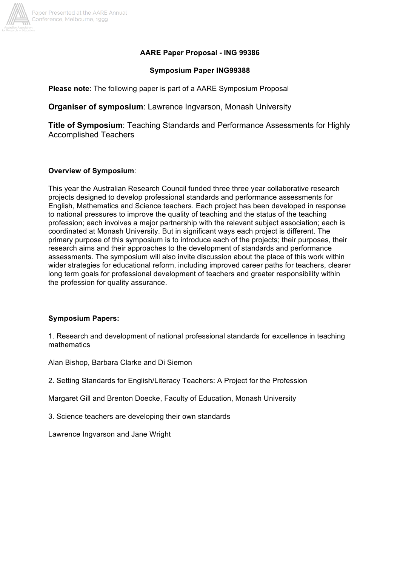

### **AARE Paper Proposal - ING 99386**

#### **Symposium Paper ING99388**

**Please note**: The following paper is part of a AARE Symposium Proposal

**Organiser of symposium**: Lawrence Ingvarson, Monash University

**Title of Symposium**: Teaching Standards and Performance Assessments for Highly Accomplished Teachers

### **Overview of Symposium**:

This year the Australian Research Council funded three three year collaborative research projects designed to develop professional standards and performance assessments for English, Mathematics and Science teachers. Each project has been developed in response to national pressures to improve the quality of teaching and the status of the teaching profession; each involves a major partnership with the relevant subject association; each is coordinated at Monash University. But in significant ways each project is different. The primary purpose of this symposium is to introduce each of the projects; their purposes, their research aims and their approaches to the development of standards and performance assessments. The symposium will also invite discussion about the place of this work within wider strategies for educational reform, including improved career paths for teachers, clearer long term goals for professional development of teachers and greater responsibility within the profession for quality assurance.

## **Symposium Papers:**

1. Research and development of national professional standards for excellence in teaching mathematics

Alan Bishop, Barbara Clarke and Di Siemon

2. Setting Standards for English/Literacy Teachers: A Project for the Profession

Margaret Gill and Brenton Doecke, Faculty of Education, Monash University

3. Science teachers are developing their own standards

Lawrence Ingvarson and Jane Wright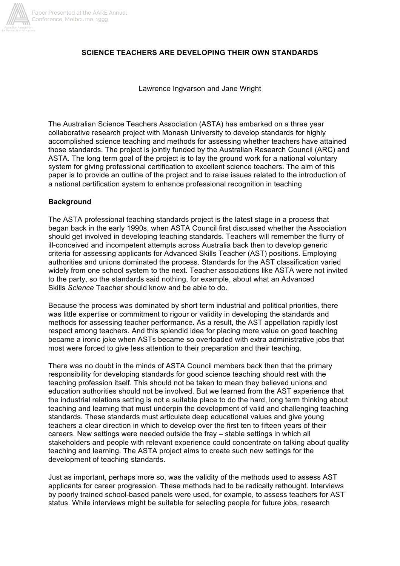

### **SCIENCE TEACHERS ARE DEVELOPING THEIR OWN STANDARDS**

Lawrence Ingvarson and Jane Wright

The Australian Science Teachers Association (ASTA) has embarked on a three year collaborative research project with Monash University to develop standards for highly accomplished science teaching and methods for assessing whether teachers have attained those standards. The project is jointly funded by the Australian Research Council (ARC) and ASTA. The long term goal of the project is to lay the ground work for a national voluntary system for giving professional certification to excellent science teachers. The aim of this paper is to provide an outline of the project and to raise issues related to the introduction of a national certification system to enhance professional recognition in teaching

### **Background**

The ASTA professional teaching standards project is the latest stage in a process that began back in the early 1990s, when ASTA Council first discussed whether the Association should get involved in developing teaching standards. Teachers will remember the flurry of ill-conceived and incompetent attempts across Australia back then to develop generic criteria for assessing applicants for Advanced Skills Teacher (AST) positions. Employing authorities and unions dominated the process. Standards for the AST classification varied widely from one school system to the next. Teacher associations like ASTA were not invited to the party, so the standards said nothing, for example, about what an Advanced Skills *Science* Teacher should know and be able to do.

Because the process was dominated by short term industrial and political priorities, there was little expertise or commitment to rigour or validity in developing the standards and methods for assessing teacher performance. As a result, the AST appellation rapidly lost respect among teachers. And this splendid idea for placing more value on good teaching became a ironic joke when ASTs became so overloaded with extra administrative jobs that most were forced to give less attention to their preparation and their teaching.

There was no doubt in the minds of ASTA Council members back then that the primary responsibility for developing standards for good science teaching should rest with the teaching profession itself. This should not be taken to mean they believed unions and education authorities should not be involved. But we learned from the AST experience that the industrial relations setting is not a suitable place to do the hard, long term thinking about teaching and learning that must underpin the development of valid and challenging teaching standards. These standards must articulate deep educational values and give young teachers a clear direction in which to develop over the first ten to fifteen years of their careers. New settings were needed outside the fray – stable settings in which all stakeholders and people with relevant experience could concentrate on talking about quality teaching and learning. The ASTA project aims to create such new settings for the development of teaching standards.

Just as important, perhaps more so, was the validity of the methods used to assess AST applicants for career progression. These methods had to be radically rethought. Interviews by poorly trained school-based panels were used, for example, to assess teachers for AST status. While interviews might be suitable for selecting people for future jobs, research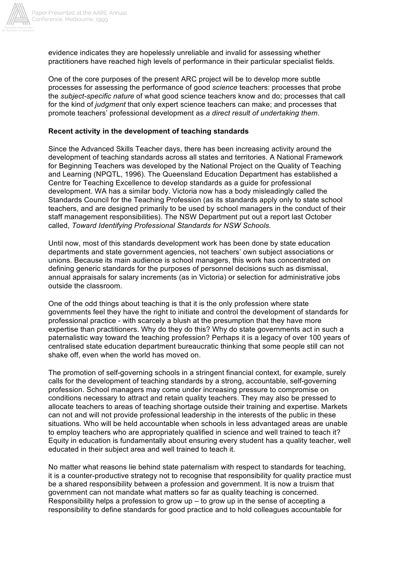

evidence indicates they are hopelessly unreliable and invalid for assessing whether practitioners have reached high levels of performance in their particular specialist fields.

One of the core purposes of the present ARC project will be to develop more subtle processes for assessing the performance of good *science* teachers: processes that probe the *subject-specific nature* of what good science teachers know and do; processes that call for the kind of *judgment* that only expert science teachers can make; and processes that promote teachers' professional development as *a direct result of undertaking them*.

#### **Recent activity in the development of teaching standards**

Since the Advanced Skills Teacher days, there has been increasing activity around the development of teaching standards across all states and territories. A National Framework for Beginning Teachers was developed by the National Project on the Quality of Teaching and Learning (NPQTL, 1996). The Queensland Education Department has established a Centre for Teaching Excellence to develop standards as a guide for professional development. WA has a similar body. Victoria now has a body misleadingly called the Standards Council for the Teaching Profession (as its standards apply only to state school teachers, and are designed primarily to be used by school managers in the conduct of their staff management responsibilities). The NSW Department put out a report last October called, *Toward Identifying Professional Standards for NSW Schools.*

Until now, most of this standards development work has been done by state education departments and state government agencies, not teachers' own subject associations or unions. Because its main audience is school managers, this work has concentrated on defining generic standards for the purposes of personnel decisions such as dismissal, annual appraisals for salary increments (as in Victoria) or selection for administrative jobs outside the classroom.

One of the odd things about teaching is that it is the only profession where state governments feel they have the right to initiate and control the development of standards for professional practice - with scarcely a blush at the presumption that they have more expertise than practitioners. Why do they do this? Why do state governments act in such a paternalistic way toward the teaching profession? Perhaps it is a legacy of over 100 years of centralised state education department bureaucratic thinking that some people still can not shake off, even when the world has moved on.

The promotion of self-governing schools in a stringent financial context, for example, surely calls for the development of teaching standards by a strong, accountable, self-governing profession. School managers may come under increasing pressure to compromise on conditions necessary to attract and retain quality teachers. They may also be pressed to allocate teachers to areas of teaching shortage outside their training and expertise. Markets can not and will not provide professional leadership in the interests of the public in these situations. Who will be held accountable when schools in less advantaged areas are unable to employ teachers who are appropriately qualified in science and well trained to teach it? Equity in education is fundamentally about ensuring every student has a quality teacher, well educated in their subject area and well trained to teach it.

No matter what reasons lie behind state paternalism with respect to standards for teaching, it is a counter-productive strategy not to recognise that responsibility for quality practice must be a shared responsibility between a profession and government. It is now a truism that government can not mandate what matters so far as quality teaching is concerned. Responsibility helps a profession to grow up – to grow up in the sense of accepting a responsibility to define standards for good practice and to hold colleagues accountable for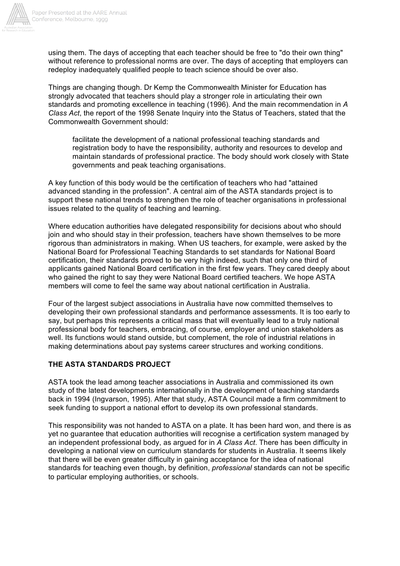

using them. The days of accepting that each teacher should be free to "do their own thing" without reference to professional norms are over. The days of accepting that employers can redeploy inadequately qualified people to teach science should be over also.

Things are changing though. Dr Kemp the Commonwealth Minister for Education has strongly advocated that teachers should play a stronger role in articulating their own standards and promoting excellence in teaching (1996). And the main recommendation in *A Class Act*, the report of the 1998 Senate Inquiry into the Status of Teachers, stated that the Commonwealth Government should:

facilitate the development of a national professional teaching standards and registration body to have the responsibility, authority and resources to develop and maintain standards of professional practice. The body should work closely with State governments and peak teaching organisations.

A key function of this body would be the certification of teachers who had "attained advanced standing in the profession". A central aim of the ASTA standards project is to support these national trends to strengthen the role of teacher organisations in professional issues related to the quality of teaching and learning.

Where education authorities have delegated responsibility for decisions about who should join and who should stay in their profession, teachers have shown themselves to be more rigorous than administrators in making. When US teachers, for example, were asked by the National Board for Professional Teaching Standards to set standards for National Board certification, their standards proved to be very high indeed, such that only one third of applicants gained National Board certification in the first few years. They cared deeply about who gained the right to say they were National Board certified teachers. We hope ASTA members will come to feel the same way about national certification in Australia.

Four of the largest subject associations in Australia have now committed themselves to developing their own professional standards and performance assessments. It is too early to say, but perhaps this represents a critical mass that will eventually lead to a truly national professional body for teachers, embracing, of course, employer and union stakeholders as well. Its functions would stand outside, but complement, the role of industrial relations in making determinations about pay systems career structures and working conditions.

## **THE ASTA STANDARDS PROJECT**

ASTA took the lead among teacher associations in Australia and commissioned its own study of the latest developments internationally in the development of teaching standards back in 1994 (Ingvarson, 1995). After that study, ASTA Council made a firm commitment to seek funding to support a national effort to develop its own professional standards.

This responsibility was not handed to ASTA on a plate. It has been hard won, and there is as yet no guarantee that education authorities will recognise a certification system managed by an independent professional body, as argued for in *A Class Act*. There has been difficulty in developing a national view on curriculum standards for students in Australia. It seems likely that there will be even greater difficulty in gaining acceptance for the idea of national standards for teaching even though, by definition, *professional* standards can not be specific to particular employing authorities, or schools.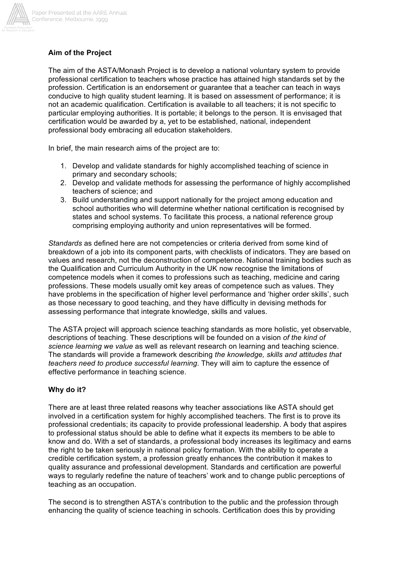

# **Aim of the Project**

The aim of the ASTA/Monash Project is to develop a national voluntary system to provide professional certification to teachers whose practice has attained high standards set by the profession. Certification is an endorsement or guarantee that a teacher can teach in ways conducive to high quality student learning. It is based on assessment of performance; it is not an academic qualification. Certification is available to all teachers; it is not specific to particular employing authorities. It is portable; it belongs to the person. It is envisaged that certification would be awarded by a, yet to be established, national, independent professional body embracing all education stakeholders.

In brief, the main research aims of the project are to:

- 1. Develop and validate standards for highly accomplished teaching of science in primary and secondary schools;
- 2. Develop and validate methods for assessing the performance of highly accomplished teachers of science; and
- 3. Build understanding and support nationally for the project among education and school authorities who will determine whether national certification is recognised by states and school systems. To facilitate this process, a national reference group comprising employing authority and union representatives will be formed.

*Standards* as defined here are not competencies or criteria derived from some kind of breakdown of a job into its component parts, with checklists of indicators. They are based on values and research, not the deconstruction of competence. National training bodies such as the Qualification and Curriculum Authority in the UK now recognise the limitations of competence models when it comes to professions such as teaching, medicine and caring professions. These models usually omit key areas of competence such as values. They have problems in the specification of higher level performance and 'higher order skills', such as those necessary to good teaching, and they have difficulty in devising methods for assessing performance that integrate knowledge, skills and values.

The ASTA project will approach science teaching standards as more holistic, yet observable, descriptions of teaching. These descriptions will be founded on a vision *of the kind of science learning we value* as well as relevant research on learning and teaching science. The standards will provide a framework describing *the knowledge, skills and attitudes that teachers need to produce successful learning*. They will aim to capture the essence of effective performance in teaching science.

## **Why do it?**

There are at least three related reasons why teacher associations like ASTA should get involved in a certification system for highly accomplished teachers. The first is to prove its professional credentials; its capacity to provide professional leadership. A body that aspires to professional status should be able to define what it expects its members to be able to know and do. With a set of standards, a professional body increases its legitimacy and earns the right to be taken seriously in national policy formation. With the ability to operate a credible certification system, a profession greatly enhances the contribution it makes to quality assurance and professional development. Standards and certification are powerful ways to regularly redefine the nature of teachers' work and to change public perceptions of teaching as an occupation.

The second is to strengthen ASTA's contribution to the public and the profession through enhancing the quality of science teaching in schools. Certification does this by providing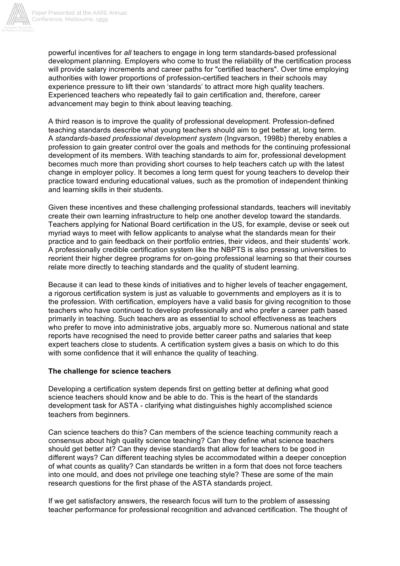

powerful incentives for *all* teachers to engage in long term standards-based professional development planning. Employers who come to trust the reliability of the certification process will provide salary increments and career paths for "certified teachers". Over time employing authorities with lower proportions of profession-certified teachers in their schools may experience pressure to lift their own 'standards' to attract more high quality teachers. Experienced teachers who repeatedly fail to gain certification and, therefore, career advancement may begin to think about leaving teaching.

A third reason is to improve the quality of professional development. Profession-defined teaching standards describe what young teachers should aim to get better at, long term. A *standards-based professional development system* (Ingvarson, 1998b) thereby enables a profession to gain greater control over the goals and methods for the continuing professional development of its members. With teaching standards to aim for, professional development becomes much more than providing short courses to help teachers catch up with the latest change in employer policy. It becomes a long term quest for young teachers to develop their practice toward enduring educational values, such as the promotion of independent thinking and learning skills in their students.

Given these incentives and these challenging professional standards, teachers will inevitably create their own learning infrastructure to help one another develop toward the standards. Teachers applying for National Board certification in the US, for example, devise or seek out myriad ways to meet with fellow applicants to analyse what the standards mean for their practice and to gain feedback on their portfolio entries, their videos, and their students' work. A professionally credible certification system like the NBPTS is also pressing universities to reorient their higher degree programs for on-going professional learning so that their courses relate more directly to teaching standards and the quality of student learning.

Because it can lead to these kinds of initiatives and to higher levels of teacher engagement, a rigorous certification system is just as valuable to governments and employers as it is to the profession. With certification, employers have a valid basis for giving recognition to those teachers who have continued to develop professionally and who prefer a career path based primarily in teaching. Such teachers are as essential to school effectiveness as teachers who prefer to move into administrative jobs, arguably more so. Numerous national and state reports have recognised the need to provide better career paths and salaries that keep expert teachers close to students. A certification system gives a basis on which to do this with some confidence that it will enhance the quality of teaching.

## **The challenge for science teachers**

Developing a certification system depends first on getting better at defining what good science teachers should know and be able to do. This is the heart of the standards development task for ASTA - clarifying what distinguishes highly accomplished science teachers from beginners.

Can science teachers do this? Can members of the science teaching community reach a consensus about high quality science teaching? Can they define what science teachers should get better at? Can they devise standards that allow for teachers to be good in different ways? Can different teaching styles be accommodated within a deeper conception of what counts as quality? Can standards be written in a form that does not force teachers into one mould, and does not privilege one teaching style? These are some of the main research questions for the first phase of the ASTA standards project.

If we get satisfactory answers, the research focus will turn to the problem of assessing teacher performance for professional recognition and advanced certification. The thought of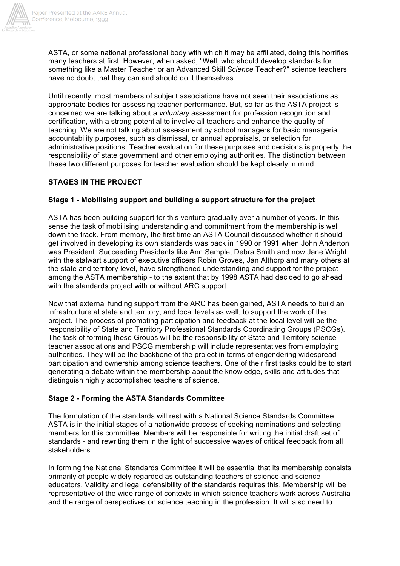

ASTA, or some national professional body with which it may be affiliated, doing this horrifies many teachers at first. However, when asked, "Well, who should develop standards for something like a Master Teacher or an Advanced Skill *Science* Teacher?" science teachers have no doubt that they can and should do it themselves.

Until recently, most members of subject associations have not seen their associations as appropriate bodies for assessing teacher performance. But, so far as the ASTA project is concerned we are talking about a *voluntary* assessment for profession recognition and certification, with a strong potential to involve all teachers and enhance the quality of teaching. We are not talking about assessment by school managers for basic managerial accountability purposes, such as dismissal, or annual appraisals, or selection for administrative positions. Teacher evaluation for these purposes and decisions is properly the responsibility of state government and other employing authorities. The distinction between these two different purposes for teacher evaluation should be kept clearly in mind.

# **STAGES IN THE PROJECT**

# **Stage 1 - Mobilising support and building a support structure for the project**

ASTA has been building support for this venture gradually over a number of years. In this sense the task of mobilising understanding and commitment from the membership is well down the track. From memory, the first time an ASTA Council discussed whether it should get involved in developing its own standards was back in 1990 or 1991 when John Anderton was President. Succeeding Presidents like Ann Semple, Debra Smith and now Jane Wright, with the stalwart support of executive officers Robin Groves, Jan Althorp and many others at the state and territory level, have strengthened understanding and support for the project among the ASTA membership - to the extent that by 1998 ASTA had decided to go ahead with the standards project with or without ARC support.

Now that external funding support from the ARC has been gained, ASTA needs to build an infrastructure at state and territory, and local levels as well, to support the work of the project. The process of promoting participation and feedback at the local level will be the responsibility of State and Territory Professional Standards Coordinating Groups (PSCGs). The task of forming these Groups will be the responsibility of State and Territory science teacher associations and PSCG membership will include representatives from employing authorities. They will be the backbone of the project in terms of engendering widespread participation and ownership among science teachers. One of their first tasks could be to start generating a debate within the membership about the knowledge, skills and attitudes that distinguish highly accomplished teachers of science.

## **Stage 2 - Forming the ASTA Standards Committee**

The formulation of the standards will rest with a National Science Standards Committee. ASTA is in the initial stages of a nationwide process of seeking nominations and selecting members for this committee. Members will be responsible for writing the initial draft set of standards - and rewriting them in the light of successive waves of critical feedback from all stakeholders.

In forming the National Standards Committee it will be essential that its membership consists primarily of people widely regarded as outstanding teachers of science and science educators. Validity and legal defensibility of the standards requires this. Membership will be representative of the wide range of contexts in which science teachers work across Australia and the range of perspectives on science teaching in the profession. It will also need to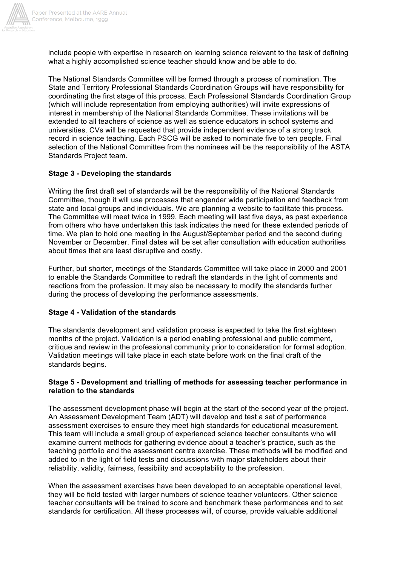

include people with expertise in research on learning science relevant to the task of defining what a highly accomplished science teacher should know and be able to do.

The National Standards Committee will be formed through a process of nomination. The State and Territory Professional Standards Coordination Groups will have responsibility for coordinating the first stage of this process. Each Professional Standards Coordination Group (which will include representation from employing authorities) will invite expressions of interest in membership of the National Standards Committee. These invitations will be extended to all teachers of science as well as science educators in school systems and universities. CVs will be requested that provide independent evidence of a strong track record in science teaching. Each PSCG will be asked to nominate five to ten people. Final selection of the National Committee from the nominees will be the responsibility of the ASTA Standards Project team.

## **Stage 3 - Developing the standards**

Writing the first draft set of standards will be the responsibility of the National Standards Committee, though it will use processes that engender wide participation and feedback from state and local groups and individuals. We are planning a website to facilitate this process. The Committee will meet twice in 1999. Each meeting will last five days, as past experience from others who have undertaken this task indicates the need for these extended periods of time. We plan to hold one meeting in the August/September period and the second during November or December. Final dates will be set after consultation with education authorities about times that are least disruptive and costly.

Further, but shorter, meetings of the Standards Committee will take place in 2000 and 2001 to enable the Standards Committee to redraft the standards in the light of comments and reactions from the profession. It may also be necessary to modify the standards further during the process of developing the performance assessments.

## **Stage 4 - Validation of the standards**

The standards development and validation process is expected to take the first eighteen months of the project. Validation is a period enabling professional and public comment, critique and review in the professional community prior to consideration for formal adoption. Validation meetings will take place in each state before work on the final draft of the standards begins.

### **Stage 5 - Development and trialling of methods for assessing teacher performance in relation to the standards**

The assessment development phase will begin at the start of the second year of the project. An Assessment Development Team (ADT) will develop and test a set of performance assessment exercises to ensure they meet high standards for educational measurement. This team will include a small group of experienced science teacher consultants who will examine current methods for gathering evidence about a teacher's practice, such as the teaching portfolio and the assessment centre exercise. These methods will be modified and added to in the light of field tests and discussions with major stakeholders about their reliability, validity, fairness, feasibility and acceptability to the profession.

When the assessment exercises have been developed to an acceptable operational level, they will be field tested with larger numbers of science teacher volunteers. Other science teacher consultants will be trained to score and benchmark these performances and to set standards for certification. All these processes will, of course, provide valuable additional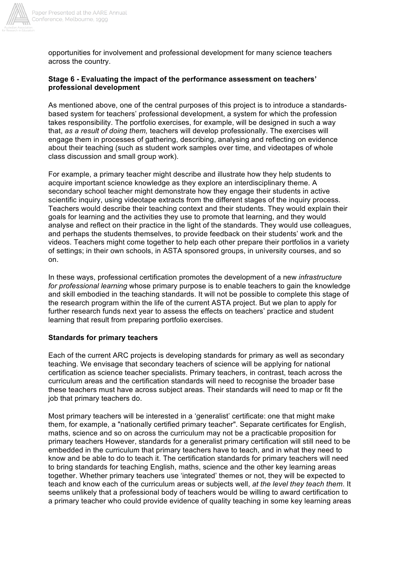

opportunities for involvement and professional development for many science teachers across the country.

## **Stage 6 - Evaluating the impact of the performance assessment on teachers' professional development**

As mentioned above, one of the central purposes of this project is to introduce a standardsbased system for teachers' professional development, a system for which the profession takes responsibility. The portfolio exercises, for example, will be designed in such a way that, *as a result of doing them,* teachers will develop professionally. The exercises will engage them in processes of gathering, describing, analysing and reflecting on evidence about their teaching (such as student work samples over time, and videotapes of whole class discussion and small group work).

For example, a primary teacher might describe and illustrate how they help students to acquire important science knowledge as they explore an interdisciplinary theme. A secondary school teacher might demonstrate how they engage their students in active scientific inquiry, using videotape extracts from the different stages of the inquiry process. Teachers would describe their teaching context and their students. They would explain their goals for learning and the activities they use to promote that learning, and they would analyse and reflect on their practice in the light of the standards. They would use colleagues, and perhaps the students themselves, to provide feedback on their students' work and the videos. Teachers might come together to help each other prepare their portfolios in a variety of settings; in their own schools, in ASTA sponsored groups, in university courses, and so on.

In these ways, professional certification promotes the development of a new *infrastructure for professional learning* whose primary purpose is to enable teachers to gain the knowledge and skill embodied in the teaching standards. It will not be possible to complete this stage of the research program within the life of the current ASTA project. But we plan to apply for further research funds next year to assess the effects on teachers' practice and student learning that result from preparing portfolio exercises.

#### **Standards for primary teachers**

Each of the current ARC projects is developing standards for primary as well as secondary teaching. We envisage that secondary teachers of science will be applying for national certification as science teacher specialists. Primary teachers, in contrast, teach across the curriculum areas and the certification standards will need to recognise the broader base these teachers must have across subject areas. Their standards will need to map or fit the job that primary teachers do.

Most primary teachers will be interested in a 'generalist' certificate: one that might make them, for example, a "nationally certified primary teacher". Separate certificates for English, maths, science and so on across the curriculum may not be a practicable proposition for primary teachers However, standards for a generalist primary certification will still need to be embedded in the curriculum that primary teachers have to teach, and in what they need to know and be able to do to teach it. The certification standards for primary teachers will need to bring standards for teaching English, maths, science and the other key learning areas together. Whether primary teachers use 'integrated' themes or not, they will be expected to teach and know each of the curriculum areas or subjects well, *at the level they teach them*. It seems unlikely that a professional body of teachers would be willing to award certification to a primary teacher who could provide evidence of quality teaching in some key learning areas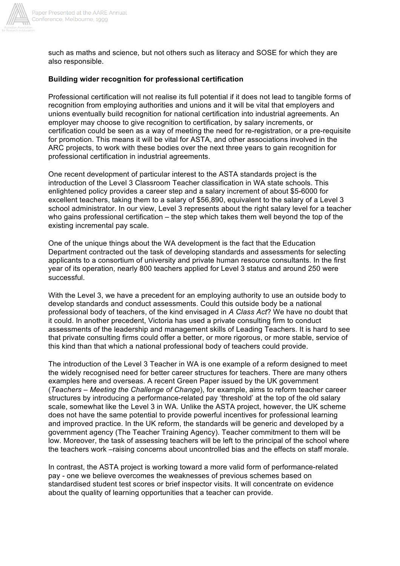

such as maths and science, but not others such as literacy and SOSE for which they are also responsible.

## **Building wider recognition for professional certification**

Professional certification will not realise its full potential if it does not lead to tangible forms of recognition from employing authorities and unions and it will be vital that employers and unions eventually build recognition for national certification into industrial agreements. An employer may choose to give recognition to certification, by salary increments, or certification could be seen as a way of meeting the need for re-registration, or a pre-requisite for promotion. This means it will be vital for ASTA, and other associations involved in the ARC projects, to work with these bodies over the next three years to gain recognition for professional certification in industrial agreements.

One recent development of particular interest to the ASTA standards project is the introduction of the Level 3 Classroom Teacher classification in WA state schools. This enlightened policy provides a career step and a salary increment of about \$5-6000 for excellent teachers, taking them to a salary of \$56,890, equivalent to the salary of a Level 3 school administrator. In our view, Level 3 represents about the right salary level for a teacher who gains professional certification – the step which takes them well beyond the top of the existing incremental pay scale.

One of the unique things about the WA development is the fact that the Education Department contracted out the task of developing standards and assessments for selecting applicants to a consortium of university and private human resource consultants. In the first year of its operation, nearly 800 teachers applied for Level 3 status and around 250 were successful.

With the Level 3, we have a precedent for an employing authority to use an outside body to develop standards and conduct assessments. Could this outside body be a national professional body of teachers, of the kind envisaged in *A Class Act*? We have no doubt that it could. In another precedent, Victoria has used a private consulting firm to conduct assessments of the leadership and management skills of Leading Teachers. It is hard to see that private consulting firms could offer a better, or more rigorous, or more stable, service of this kind than that which a national professional body of teachers could provide.

The introduction of the Level 3 Teacher in WA is one example of a reform designed to meet the widely recognised need for better career structures for teachers. There are many others examples here and overseas. A recent Green Paper issued by the UK government (*Teachers – Meeting the Challenge of Change*), for example, aims to reform teacher career structures by introducing a performance-related pay 'threshold' at the top of the old salary scale, somewhat like the Level 3 in WA. Unlike the ASTA project, however, the UK scheme does not have the same potential to provide powerful incentives for professional learning and improved practice. In the UK reform, the standards will be generic and developed by a government agency (The Teacher Training Agency). Teacher commitment to them will be low. Moreover, the task of assessing teachers will be left to the principal of the school where the teachers work –raising concerns about uncontrolled bias and the effects on staff morale.

In contrast, the ASTA project is working toward a more valid form of performance-related pay - one we believe overcomes the weaknesses of previous schemes based on standardised student test scores or brief inspector visits. It will concentrate on evidence about the quality of learning opportunities that a teacher can provide.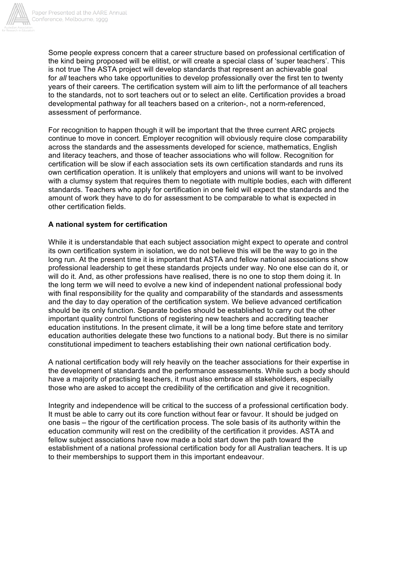

Some people express concern that a career structure based on professional certification of the kind being proposed will be elitist, or will create a special class of 'super teachers'. This is not true The ASTA project will develop standards that represent an achievable goal for *all* teachers who take opportunities to develop professionally over the first ten to twenty years of their careers. The certification system will aim to lift the performance of all teachers to the standards, not to sort teachers out or to select an elite. Certification provides a broad developmental pathway for all teachers based on a criterion-, not a norm-referenced, assessment of performance.

For recognition to happen though it will be important that the three current ARC projects continue to move in concert. Employer recognition will obviously require close comparability across the standards and the assessments developed for science, mathematics, English and literacy teachers, and those of teacher associations who will follow. Recognition for certification will be slow if each association sets its own certification standards and runs its own certification operation. It is unlikely that employers and unions will want to be involved with a clumsy system that requires them to negotiate with multiple bodies, each with different standards. Teachers who apply for certification in one field will expect the standards and the amount of work they have to do for assessment to be comparable to what is expected in other certification fields.

# **A national system for certification**

While it is understandable that each subject association might expect to operate and control its own certification system in isolation, we do not believe this will be the way to go in the long run. At the present time it is important that ASTA and fellow national associations show professional leadership to get these standards projects under way. No one else can do it, or will do it. And, as other professions have realised, there is no one to stop them doing it. In the long term we will need to evolve a new kind of independent national professional body with final responsibility for the quality and comparability of the standards and assessments and the day to day operation of the certification system. We believe advanced certification should be its only function. Separate bodies should be established to carry out the other important quality control functions of registering new teachers and accrediting teacher education institutions. In the present climate, it will be a long time before state and territory education authorities delegate these two functions to a national body. But there is no similar constitutional impediment to teachers establishing their own national certification body.

A national certification body will rely heavily on the teacher associations for their expertise in the development of standards and the performance assessments. While such a body should have a majority of practising teachers, it must also embrace all stakeholders, especially those who are asked to accept the credibility of the certification and give it recognition.

Integrity and independence will be critical to the success of a professional certification body. It must be able to carry out its core function without fear or favour. It should be judged on one basis – the rigour of the certification process. The sole basis of its authority within the education community will rest on the credibility of the certification it provides. ASTA and fellow subject associations have now made a bold start down the path toward the establishment of a national professional certification body for all Australian teachers. It is up to their memberships to support them in this important endeavour.